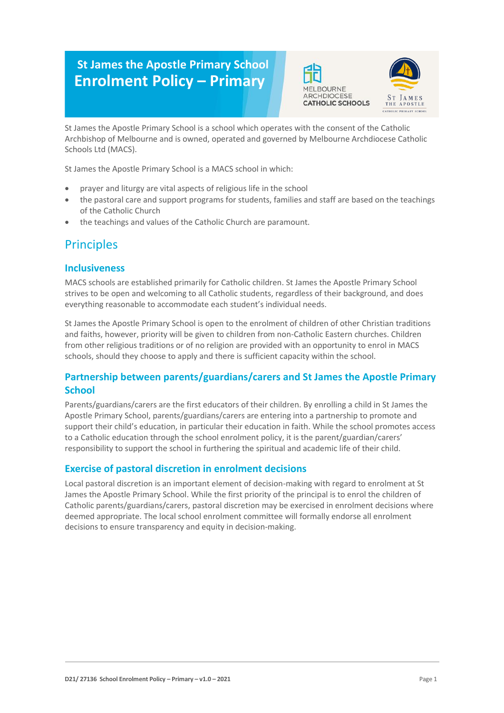# **St James the Apostle Primary School Enrolment Policy – Primary**





St James the Apostle Primary School is a school which operates with the consent of the Catholic Archbishop of Melbourne and is owned, operated and governed by Melbourne Archdiocese Catholic Schools Ltd (MACS).

St James the Apostle Primary School is a MACS school in which:

- prayer and liturgy are vital aspects of religious life in the school
- the pastoral care and support programs for students, families and staff are based on the teachings of the Catholic Church
- the teachings and values of the Catholic Church are paramount.

## **Principles**

#### **Inclusiveness**

MACS schools are established primarily for Catholic children. St James the Apostle Primary School strives to be open and welcoming to all Catholic students, regardless of their background, and does everything reasonable to accommodate each student's individual needs.

St James the Apostle Primary School is open to the enrolment of children of other Christian traditions and faiths, however, priority will be given to children from non-Catholic Eastern churches. Children from other religious traditions or of no religion are provided with an opportunity to enrol in MACS schools, should they choose to apply and there is sufficient capacity within the school.

### **Partnership between parents/guardians/carers and St James the Apostle Primary School**

Parents/guardians/carers are the first educators of their children. By enrolling a child in St James the Apostle Primary School, parents/guardians/carers are entering into a partnership to promote and support their child's education, in particular their education in faith. While the school promotes access to a Catholic education through the school enrolment policy, it is the parent/guardian/carers' responsibility to support the school in furthering the spiritual and academic life of their child.

### **Exercise of pastoral discretion in enrolment decisions**

Local pastoral discretion is an important element of decision-making with regard to enrolment at St James the Apostle Primary School. While the first priority of the principal is to enrol the children of Catholic parents/guardians/carers, pastoral discretion may be exercised in enrolment decisions where deemed appropriate. The local school enrolment committee will formally endorse all enrolment decisions to ensure transparency and equity in decision-making.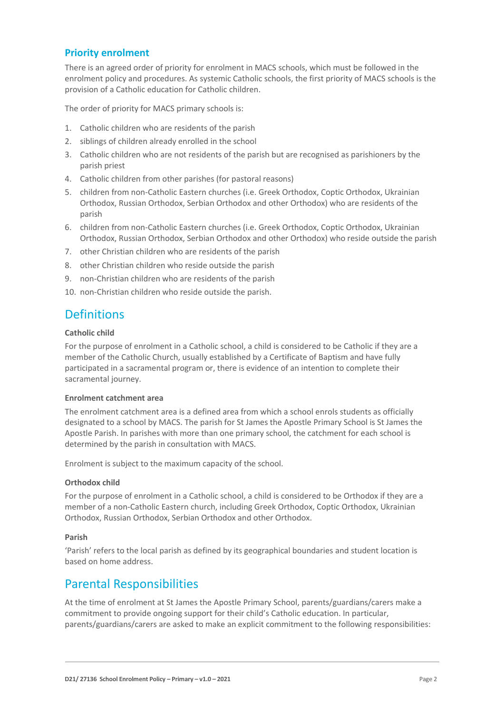### **Priority enrolment**

There is an agreed order of priority for enrolment in MACS schools, which must be followed in the enrolment policy and procedures. As systemic Catholic schools, the first priority of MACS schools is the provision of a Catholic education for Catholic children.

The order of priority for MACS primary schools is:

- 1. Catholic children who are residents of the parish
- 2. siblings of children already enrolled in the school
- 3. Catholic children who are not residents of the parish but are recognised as parishioners by the parish priest
- 4. Catholic children from other parishes (for pastoral reasons)
- 5. children from non-Catholic Eastern churches (i.e. Greek Orthodox, Coptic Orthodox, Ukrainian Orthodox, Russian Orthodox, Serbian Orthodox and other Orthodox) who are residents of the parish
- 6. children from non-Catholic Eastern churches (i.e. Greek Orthodox, Coptic Orthodox, Ukrainian Orthodox, Russian Orthodox, Serbian Orthodox and other Orthodox) who reside outside the parish
- 7. other Christian children who are residents of the parish
- 8. other Christian children who reside outside the parish
- 9. non-Christian children who are residents of the parish
- 10. non-Christian children who reside outside the parish.

### **Definitions**

#### **Catholic child**

For the purpose of enrolment in a Catholic school, a child is considered to be Catholic if they are a member of the Catholic Church, usually established by a Certificate of Baptism and have fully participated in a sacramental program or, there is evidence of an intention to complete their sacramental journey.

#### **Enrolment catchment area**

The enrolment catchment area is a defined area from which a school enrols students as officially designated to a school by MACS. The parish for St James the Apostle Primary School is St James the Apostle Parish. In parishes with more than one primary school, the catchment for each school is determined by the parish in consultation with MACS.

Enrolment is subject to the maximum capacity of the school.

#### **Orthodox child**

For the purpose of enrolment in a Catholic school, a child is considered to be Orthodox if they are a member of a non-Catholic Eastern church, including Greek Orthodox, Coptic Orthodox, Ukrainian Orthodox, Russian Orthodox, Serbian Orthodox and other Orthodox.

#### **Parish**

'Parish' refers to the local parish as defined by its geographical boundaries and student location is based on home address.

### Parental Responsibilities

At the time of enrolment at St James the Apostle Primary School, parents/guardians/carers make a commitment to provide ongoing support for their child's Catholic education. In particular, parents/guardians/carers are asked to make an explicit commitment to the following responsibilities: